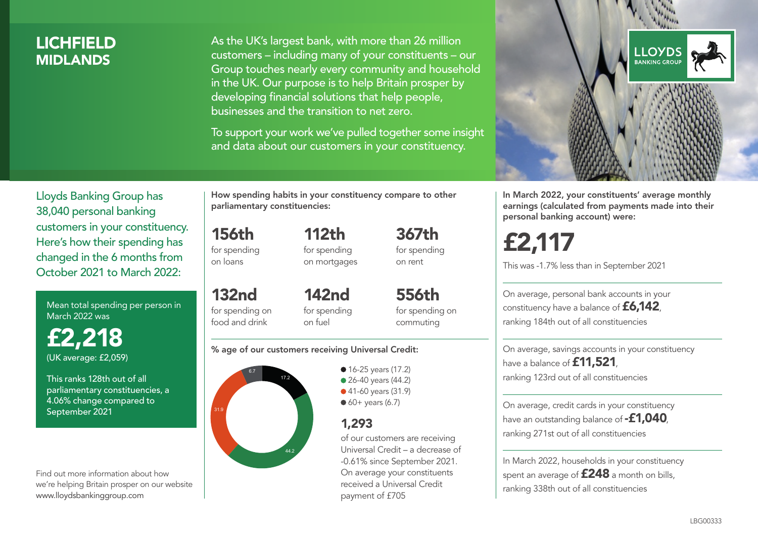## LICHFIELD **MIDI ANDS**

As the UK's largest bank, with more than 26 million customers – including many of your constituents – our Group touches nearly every community and household in the UK. Our purpose is to help Britain prosper by developing financial solutions that help people, businesses and the transition to net zero.

To support your work we've pulled together some insight and data about our customers in your constituency.



Mean total spending per person in March 2022 was

£2,218 (UK average: £2,059)

This ranks 128th out of all parliamentary constituencies, a 4.06% change compared to September 2021

Find out more information about how we're helping Britain prosper on our website www.lloydsbankinggroup.com

How spending habits in your constituency compare to other parliamentary constituencies:

112th

156th for spending on loans

132nd

for spending on mortgages 367th for spending on rent

for spending on food and drink 142nd for spending on fuel

556th for spending on commuting

#### % age of our customers receiving Universal Credit:



• 16-25 years (17.2) • 26-40 years (44.2) ● 41-60 years (31.9)  $60+$  years (6.7)

### 1,293

of our customers are receiving Universal Credit – a decrease of -0.61% since September 2021. On average your constituents received a Universal Credit payment of £705



In March 2022, your constituents' average monthly earnings (calculated from payments made into their personal banking account) were:

# £2,117

This was -1.7% less than in September 2021

On average, personal bank accounts in your constituency have a balance of £6,142, ranking 184th out of all constituencies

On average, savings accounts in your constituency have a balance of **£11,521** ranking 123rd out of all constituencies

On average, credit cards in your constituency have an outstanding balance of **-£1,040** ranking 271st out of all constituencies

In March 2022, households in your constituency spent an average of **£248** a month on bills, ranking 338th out of all constituencies